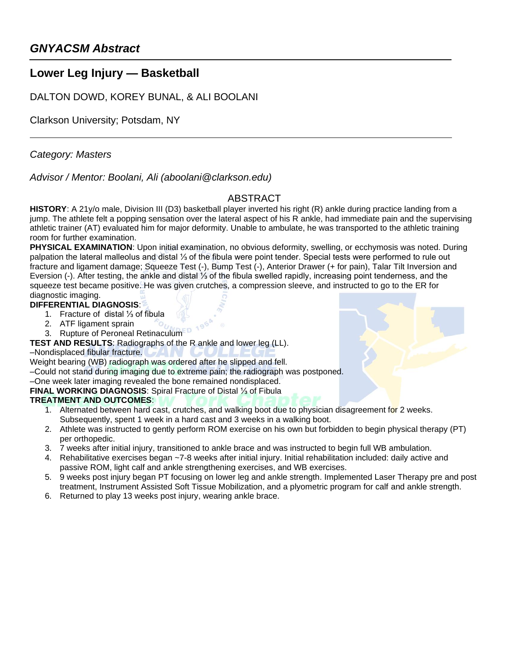## **Lower Leg Injury — Basketball**

DALTON DOWD, KOREY BUNAL, & ALI BOOLANI

Clarkson University; Potsdam, NY

*Category: Masters*

*Advisor / Mentor: Boolani, Ali (aboolani@clarkson.edu)* 

### ABSTRACT

**HISTORY**: A 21y/o male, Division III (D3) basketball player inverted his right (R) ankle during practice landing from a jump. The athlete felt a popping sensation over the lateral aspect of his R ankle, had immediate pain and the supervising athletic trainer (AT) evaluated him for major deformity. Unable to ambulate, he was transported to the athletic training room for further examination.

**PHYSICAL EXAMINATION**: Upon initial examination, no obvious deformity, swelling, or ecchymosis was noted. During palpation the lateral malleolus and distal ⅓ of the fibula were point tender. Special tests were performed to rule out fracture and ligament damage; Squeeze Test (-), Bump Test (-), Anterior Drawer (+ for pain), Talar Tilt Inversion and Eversion (-). After testing, the ankle and distal ⅓ of the fibula swelled rapidly, increasing point tenderness, and the squeeze test became positive. He was given crutches, a compression sleeve, and instructed to go to the ER for diagnostic imaging.

**DIFFERENTIAL DIAGNOSIS**:

- 1. Fracture of distal ⅓ of fibula
- 2. ATF ligament sprain
- Rupture of Peroneal Retinaculum

**TEST AND RESULTS**: Radiographs of the R ankle and lower leg (LL).

–Nondisplaced fibular fracture.

Weight bearing (WB) radiograph was ordered after he slipped and fell.

–Could not stand during imaging due to extreme pain; the radiograph was postponed.

–One week later imaging revealed the bone remained nondisplaced.

**FINAL WORKING DIAGNOSIS**: Spiral Fracture of Distal ⅓ of Fibula

#### **TREATMENT AND OUTCOMES**:

- 1. Alternated between hard cast, crutches, and walking boot due to physician disagreement for 2 weeks. Subsequently, spent 1 week in a hard cast and 3 weeks in a walking boot.
- 2. Athlete was instructed to gently perform ROM exercise on his own but forbidden to begin physical therapy (PT) per orthopedic.
- 3. 7 weeks after initial injury, transitioned to ankle brace and was instructed to begin full WB ambulation.
- 4. Rehabilitative exercises began ~7-8 weeks after initial injury. Initial rehabilitation included: daily active and passive ROM, light calf and ankle strengthening exercises, and WB exercises.
- 5. 9 weeks post injury began PT focusing on lower leg and ankle strength. Implemented Laser Therapy pre and post treatment, Instrument Assisted Soft Tissue Mobilization, and a plyometric program for calf and ankle strength.
- 6. Returned to play 13 weeks post injury, wearing ankle brace.